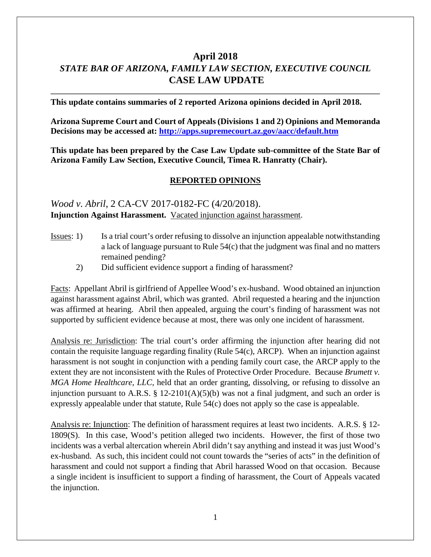## **April 2018** *STATE BAR OF ARIZONA, FAMILY LAW SECTION, EXECUTIVE COUNCIL* **CASE LAW UPDATE**

**This update contains summaries of 2 reported Arizona opinions decided in April 2018.**

**Arizona Supreme Court and Court of Appeals (Divisions 1 and 2) Opinions and Memoranda Decisions may be accessed at: <http://apps.supremecourt.az.gov/aacc/default.htm>**

**This update has been prepared by the Case Law Update sub-committee of the State Bar of Arizona Family Law Section, Executive Council, Timea R. Hanratty (Chair).**

## **REPORTED OPINIONS**

*Wood v. Abril*, 2 CA-CV 2017-0182-FC (4/20/2018). **Injunction Against Harassment.** Vacated injunction against harassment.

- Issues: 1) Is a trial court's order refusing to dissolve an injunction appealable notwithstanding a lack of language pursuant to Rule 54(c) that the judgment was final and no matters remained pending?
	- 2) Did sufficient evidence support a finding of harassment?

Facts: Appellant Abril is girlfriend of Appellee Wood's ex-husband. Wood obtained an injunction against harassment against Abril, which was granted. Abril requested a hearing and the injunction was affirmed at hearing. Abril then appealed, arguing the court's finding of harassment was not supported by sufficient evidence because at most, there was only one incident of harassment.

Analysis re: Jurisdiction: The trial court's order affirming the injunction after hearing did not contain the requisite language regarding finality (Rule 54(c), ARCP). When an injunction against harassment is not sought in conjunction with a pending family court case, the ARCP apply to the extent they are not inconsistent with the Rules of Protective Order Procedure. Because *Brumett v. MGA Home Healthcare, LLC*, held that an order granting, dissolving, or refusing to dissolve an injunction pursuant to A.R.S. § 12-2101(A)(5)(b) was not a final judgment, and such an order is expressly appealable under that statute, Rule 54(c) does not apply so the case is appealable.

Analysis re: Injunction: The definition of harassment requires at least two incidents. A.R.S. § 12- 1809(S). In this case, Wood's petition alleged two incidents. However, the first of those two incidents was a verbal altercation wherein Abril didn't say anything and instead it was just Wood's ex-husband. As such, this incident could not count towards the "series of acts" in the definition of harassment and could not support a finding that Abril harassed Wood on that occasion. Because a single incident is insufficient to support a finding of harassment, the Court of Appeals vacated the injunction.